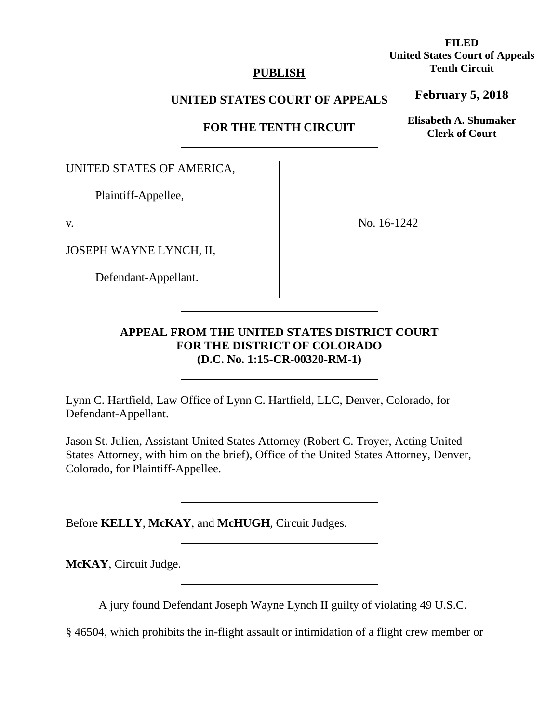## **PUBLISH**

## **UNITED STATES COURT OF APPEALS**

**FOR THE TENTH CIRCUIT** 

UNITED STATES OF AMERICA,

Plaintiff-Appellee,

v.

JOSEPH WAYNE LYNCH, II,

Defendant-Appellant.

No. 16-1242

## **APPEAL FROM THE UNITED STATES DISTRICT COURT FOR THE DISTRICT OF COLORADO (D.C. No. 1:15-CR-00320-RM-1)**

Lynn C. Hartfield, Law Office of Lynn C. Hartfield, LLC, Denver, Colorado, for Defendant-Appellant.

Jason St. Julien, Assistant United States Attorney (Robert C. Troyer, Acting United States Attorney, with him on the brief), Office of the United States Attorney, Denver, Colorado, for Plaintiff-Appellee.

Before **KELLY**, **McKAY**, and **McHUGH**, Circuit Judges.

**McKAY**, Circuit Judge.

A jury found Defendant Joseph Wayne Lynch II guilty of violating 49 U.S.C.

§ 46504, which prohibits the in-flight assault or intimidation of a flight crew member or

**FILED United States Court of Appeals Tenth Circuit** 

**February 5, 2018**

**Elisabeth A. Shumaker Clerk of Court**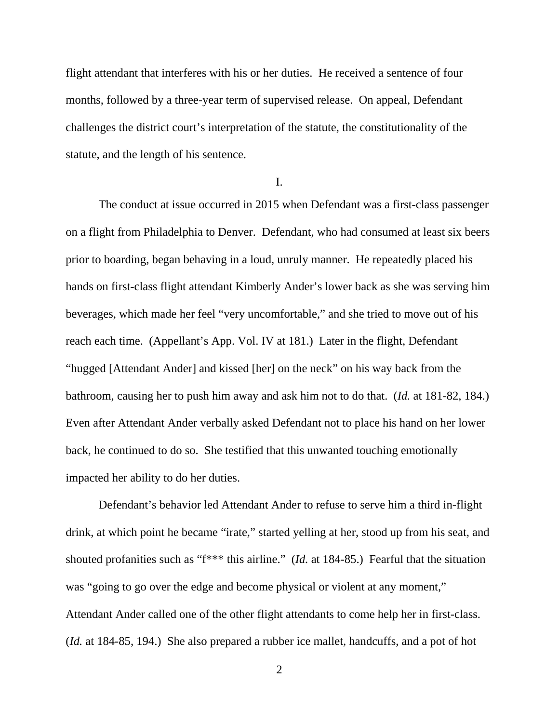flight attendant that interferes with his or her duties. He received a sentence of four months, followed by a three-year term of supervised release. On appeal, Defendant challenges the district court's interpretation of the statute, the constitutionality of the statute, and the length of his sentence.

I.

 The conduct at issue occurred in 2015 when Defendant was a first-class passenger on a flight from Philadelphia to Denver. Defendant, who had consumed at least six beers prior to boarding, began behaving in a loud, unruly manner. He repeatedly placed his hands on first-class flight attendant Kimberly Ander's lower back as she was serving him beverages, which made her feel "very uncomfortable," and she tried to move out of his reach each time. (Appellant's App. Vol. IV at 181.) Later in the flight, Defendant "hugged [Attendant Ander] and kissed [her] on the neck" on his way back from the bathroom, causing her to push him away and ask him not to do that. (*Id.* at 181-82, 184.) Even after Attendant Ander verbally asked Defendant not to place his hand on her lower back, he continued to do so. She testified that this unwanted touching emotionally impacted her ability to do her duties.

 Defendant's behavior led Attendant Ander to refuse to serve him a third in-flight drink, at which point he became "irate," started yelling at her, stood up from his seat, and shouted profanities such as "f\*\*\* this airline." (*Id.* at 184-85.) Fearful that the situation was "going to go over the edge and become physical or violent at any moment," Attendant Ander called one of the other flight attendants to come help her in first-class. (*Id.* at 184-85, 194.) She also prepared a rubber ice mallet, handcuffs, and a pot of hot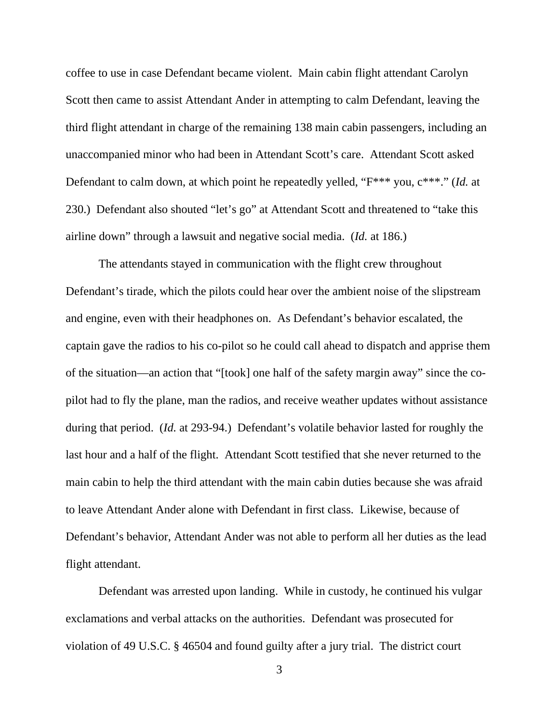coffee to use in case Defendant became violent. Main cabin flight attendant Carolyn Scott then came to assist Attendant Ander in attempting to calm Defendant, leaving the third flight attendant in charge of the remaining 138 main cabin passengers, including an unaccompanied minor who had been in Attendant Scott's care. Attendant Scott asked Defendant to calm down, at which point he repeatedly yelled, "F\*\*\* you, c\*\*\*." (*Id.* at 230.) Defendant also shouted "let's go" at Attendant Scott and threatened to "take this airline down" through a lawsuit and negative social media. (*Id.* at 186.)

The attendants stayed in communication with the flight crew throughout Defendant's tirade, which the pilots could hear over the ambient noise of the slipstream and engine, even with their headphones on. As Defendant's behavior escalated, the captain gave the radios to his co-pilot so he could call ahead to dispatch and apprise them of the situation—an action that "[took] one half of the safety margin away" since the copilot had to fly the plane, man the radios, and receive weather updates without assistance during that period. (*Id.* at 293-94.) Defendant's volatile behavior lasted for roughly the last hour and a half of the flight. Attendant Scott testified that she never returned to the main cabin to help the third attendant with the main cabin duties because she was afraid to leave Attendant Ander alone with Defendant in first class. Likewise, because of Defendant's behavior, Attendant Ander was not able to perform all her duties as the lead flight attendant.

Defendant was arrested upon landing. While in custody, he continued his vulgar exclamations and verbal attacks on the authorities. Defendant was prosecuted for violation of 49 U.S.C. § 46504 and found guilty after a jury trial. The district court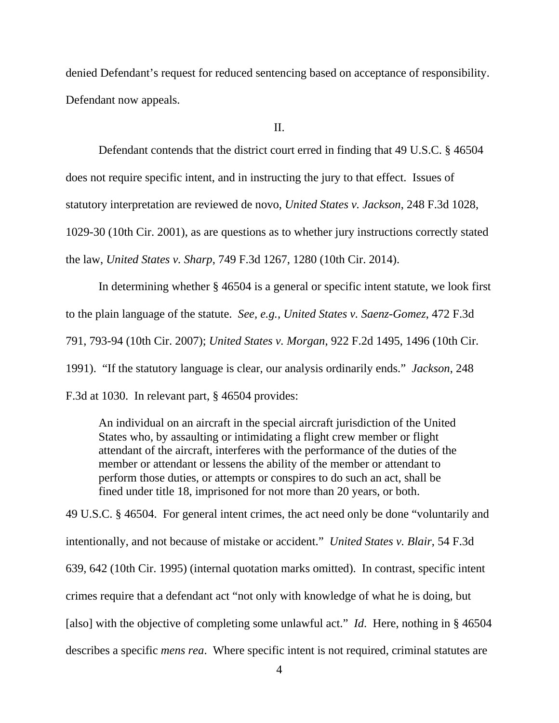denied Defendant's request for reduced sentencing based on acceptance of responsibility. Defendant now appeals.

II.

Defendant contends that the district court erred in finding that 49 U.S.C. § 46504 does not require specific intent, and in instructing the jury to that effect. Issues of statutory interpretation are reviewed de novo, *United States v. Jackson*, 248 F.3d 1028, 1029-30 (10th Cir. 2001), as are questions as to whether jury instructions correctly stated the law, *United States v. Sharp*, 749 F.3d 1267, 1280 (10th Cir. 2014).

 In determining whether § 46504 is a general or specific intent statute, we look first to the plain language of the statute. *See, e.g., United States v. Saenz-Gomez*, 472 F.3d 791, 793-94 (10th Cir. 2007); *United States v. Morgan*, 922 F.2d 1495, 1496 (10th Cir. 1991). "If the statutory language is clear, our analysis ordinarily ends." *Jackson*, 248 F.3d at 1030. In relevant part, § 46504 provides:

An individual on an aircraft in the special aircraft jurisdiction of the United States who, by assaulting or intimidating a flight crew member or flight attendant of the aircraft, interferes with the performance of the duties of the member or attendant or lessens the ability of the member or attendant to perform those duties, or attempts or conspires to do such an act, shall be fined under title 18, imprisoned for not more than 20 years, or both.

49 U.S.C. § 46504. For general intent crimes, the act need only be done "voluntarily and intentionally, and not because of mistake or accident." *United States v. Blair*, 54 F.3d 639, 642 (10th Cir. 1995) (internal quotation marks omitted). In contrast, specific intent crimes require that a defendant act "not only with knowledge of what he is doing, but [also] with the objective of completing some unlawful act." *Id.* Here, nothing in § 46504 describes a specific *mens rea*. Where specific intent is not required, criminal statutes are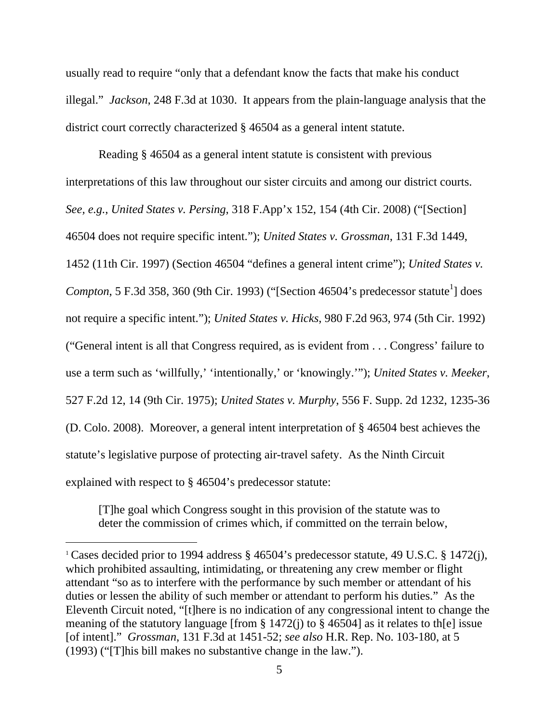usually read to require "only that a defendant know the facts that make his conduct illegal." *Jackson*, 248 F.3d at 1030. It appears from the plain-language analysis that the district court correctly characterized § 46504 as a general intent statute.

 Reading § 46504 as a general intent statute is consistent with previous interpretations of this law throughout our sister circuits and among our district courts. *See, e.g.*, *United States v. Persing*, 318 F.App'x 152, 154 (4th Cir. 2008) ("[Section] 46504 does not require specific intent."); *United States v. Grossman*, 131 F.3d 1449, 1452 (11th Cir. 1997) (Section 46504 "defines a general intent crime"); *United States v. Compton*, 5 F.3d 358, 360 (9th Cir. 1993) ("[Section 46504's predecessor statute<sup>1</sup>] does not require a specific intent."); *United States v. Hicks*, 980 F.2d 963, 974 (5th Cir. 1992) ("General intent is all that Congress required, as is evident from . . . Congress' failure to use a term such as 'willfully,' 'intentionally,' or 'knowingly.'"); *United States v. Meeker*, 527 F.2d 12, 14 (9th Cir. 1975); *United States v. Murphy*, 556 F. Supp. 2d 1232, 1235-36 (D. Colo. 2008). Moreover, a general intent interpretation of § 46504 best achieves the statute's legislative purpose of protecting air-travel safety. As the Ninth Circuit explained with respect to § 46504's predecessor statute:

[T]he goal which Congress sought in this provision of the statute was to deter the commission of crimes which, if committed on the terrain below,

<sup>1</sup> Cases decided prior to 1994 address § 46504's predecessor statute, 49 U.S.C. § 1472(j), which prohibited assaulting, intimidating, or threatening any crew member or flight attendant "so as to interfere with the performance by such member or attendant of his duties or lessen the ability of such member or attendant to perform his duties." As the Eleventh Circuit noted, "[t]here is no indication of any congressional intent to change the meaning of the statutory language [from  $\S 1472(i)$  to  $\S 46504$ ] as it relates to th[e] issue [of intent]." *Grossman*, 131 F.3d at 1451-52; *see also* H.R. Rep. No. 103-180, at 5 (1993) ("[T]his bill makes no substantive change in the law.").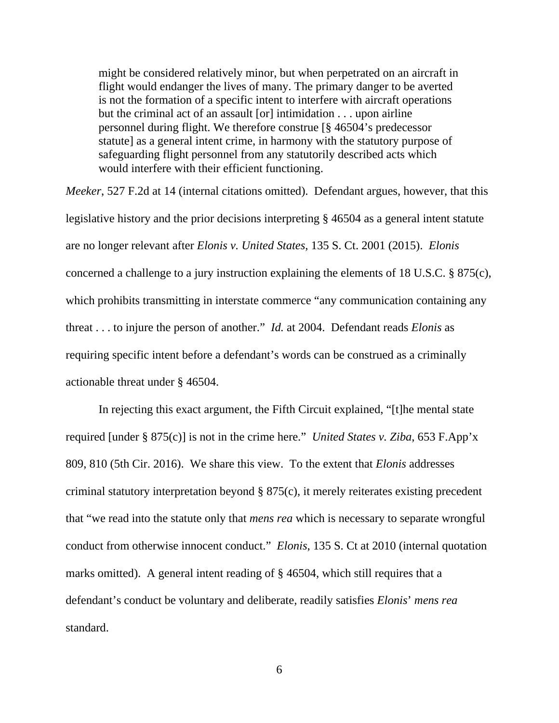might be considered relatively minor, but when perpetrated on an aircraft in flight would endanger the lives of many. The primary danger to be averted is not the formation of a specific intent to interfere with aircraft operations but the criminal act of an assault [or] intimidation . . . upon airline personnel during flight. We therefore construe [§ 46504's predecessor statute] as a general intent crime, in harmony with the statutory purpose of safeguarding flight personnel from any statutorily described acts which would interfere with their efficient functioning.

*Meeker*, 527 F.2d at 14 (internal citations omitted). Defendant argues, however, that this legislative history and the prior decisions interpreting § 46504 as a general intent statute are no longer relevant after *Elonis v. United States*, 135 S. Ct. 2001 (2015). *Elonis* concerned a challenge to a jury instruction explaining the elements of 18 U.S.C. § 875(c), which prohibits transmitting in interstate commerce "any communication containing any threat . . . to injure the person of another." *Id.* at 2004. Defendant reads *Elonis* as requiring specific intent before a defendant's words can be construed as a criminally actionable threat under § 46504.

In rejecting this exact argument, the Fifth Circuit explained, "[t]he mental state required [under § 875(c)] is not in the crime here." *United States v. Ziba*, 653 F.App'x 809, 810 (5th Cir. 2016). We share this view. To the extent that *Elonis* addresses criminal statutory interpretation beyond § 875(c), it merely reiterates existing precedent that "we read into the statute only that *mens rea* which is necessary to separate wrongful conduct from otherwise innocent conduct." *Elonis*, 135 S. Ct at 2010 (internal quotation marks omitted). A general intent reading of § 46504, which still requires that a defendant's conduct be voluntary and deliberate, readily satisfies *Elonis*' *mens rea*  standard.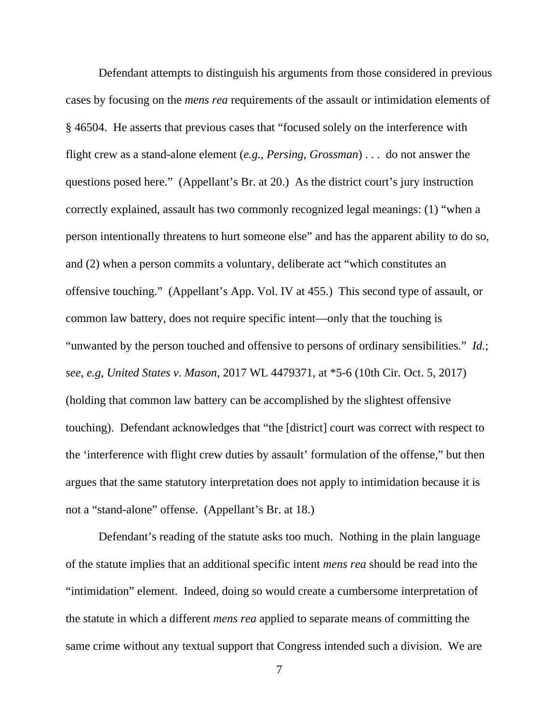Defendant attempts to distinguish his arguments from those considered in previous cases by focusing on the *mens rea* requirements of the assault or intimidation elements of § 46504. He asserts that previous cases that "focused solely on the interference with flight crew as a stand-alone element (*e.g., Persing*, *Grossman*) . . . do not answer the questions posed here." (Appellant's Br. at 20.) As the district court's jury instruction correctly explained, assault has two commonly recognized legal meanings: (1) "when a person intentionally threatens to hurt someone else" and has the apparent ability to do so, and (2) when a person commits a voluntary, deliberate act "which constitutes an offensive touching." (Appellant's App. Vol. IV at 455.) This second type of assault, or common law battery, does not require specific intent—only that the touching is "unwanted by the person touched and offensive to persons of ordinary sensibilities." *Id.*; *see, e.g*, *United States v. Mason*, 2017 WL 4479371, at \*5-6 (10th Cir. Oct. 5, 2017) (holding that common law battery can be accomplished by the slightest offensive touching). Defendant acknowledges that "the [district] court was correct with respect to the 'interference with flight crew duties by assault' formulation of the offense," but then argues that the same statutory interpretation does not apply to intimidation because it is not a "stand-alone" offense. (Appellant's Br. at 18.)

Defendant's reading of the statute asks too much. Nothing in the plain language of the statute implies that an additional specific intent *mens rea* should be read into the "intimidation" element. Indeed, doing so would create a cumbersome interpretation of the statute in which a different *mens rea* applied to separate means of committing the same crime without any textual support that Congress intended such a division. We are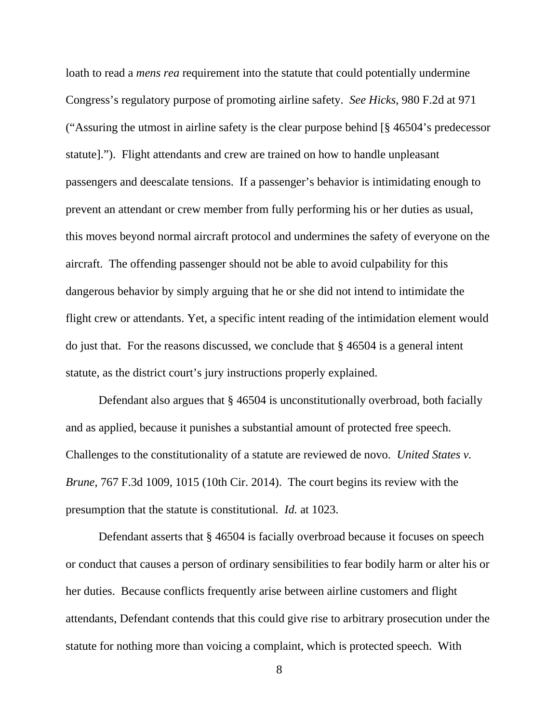loath to read a *mens rea* requirement into the statute that could potentially undermine Congress's regulatory purpose of promoting airline safety. *See Hicks*, 980 F.2d at 971 ("Assuring the utmost in airline safety is the clear purpose behind [§ 46504's predecessor statute]."). Flight attendants and crew are trained on how to handle unpleasant passengers and deescalate tensions. If a passenger's behavior is intimidating enough to prevent an attendant or crew member from fully performing his or her duties as usual, this moves beyond normal aircraft protocol and undermines the safety of everyone on the aircraft. The offending passenger should not be able to avoid culpability for this dangerous behavior by simply arguing that he or she did not intend to intimidate the flight crew or attendants. Yet, a specific intent reading of the intimidation element would do just that. For the reasons discussed, we conclude that § 46504 is a general intent statute, as the district court's jury instructions properly explained.

Defendant also argues that § 46504 is unconstitutionally overbroad, both facially and as applied, because it punishes a substantial amount of protected free speech. Challenges to the constitutionality of a statute are reviewed de novo. *United States v. Brune*, 767 F.3d 1009, 1015 (10th Cir. 2014). The court begins its review with the presumption that the statute is constitutional*. Id.* at 1023.

Defendant asserts that § 46504 is facially overbroad because it focuses on speech or conduct that causes a person of ordinary sensibilities to fear bodily harm or alter his or her duties. Because conflicts frequently arise between airline customers and flight attendants, Defendant contends that this could give rise to arbitrary prosecution under the statute for nothing more than voicing a complaint, which is protected speech. With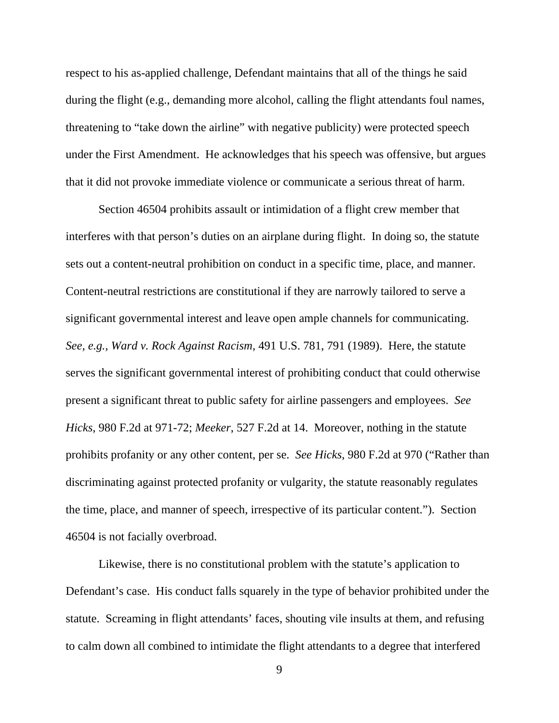respect to his as-applied challenge, Defendant maintains that all of the things he said during the flight (e.g., demanding more alcohol, calling the flight attendants foul names, threatening to "take down the airline" with negative publicity) were protected speech under the First Amendment. He acknowledges that his speech was offensive, but argues that it did not provoke immediate violence or communicate a serious threat of harm.

Section 46504 prohibits assault or intimidation of a flight crew member that interferes with that person's duties on an airplane during flight. In doing so, the statute sets out a content-neutral prohibition on conduct in a specific time, place, and manner. Content-neutral restrictions are constitutional if they are narrowly tailored to serve a significant governmental interest and leave open ample channels for communicating. *See, e.g., Ward v. Rock Against Racism*, 491 U.S. 781, 791 (1989). Here, the statute serves the significant governmental interest of prohibiting conduct that could otherwise present a significant threat to public safety for airline passengers and employees. *See Hicks*, 980 F.2d at 971-72; *Meeker*, 527 F.2d at 14. Moreover, nothing in the statute prohibits profanity or any other content, per se. *See Hicks*, 980 F.2d at 970 ("Rather than discriminating against protected profanity or vulgarity, the statute reasonably regulates the time, place, and manner of speech, irrespective of its particular content."). Section 46504 is not facially overbroad.

Likewise, there is no constitutional problem with the statute's application to Defendant's case. His conduct falls squarely in the type of behavior prohibited under the statute. Screaming in flight attendants' faces, shouting vile insults at them, and refusing to calm down all combined to intimidate the flight attendants to a degree that interfered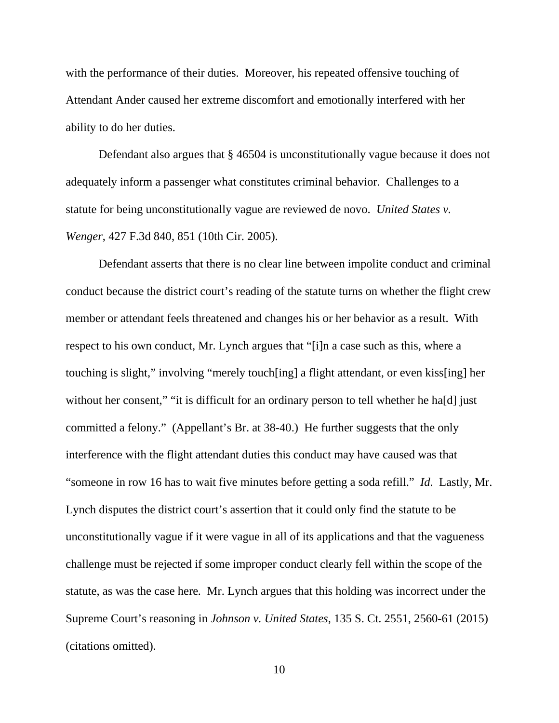with the performance of their duties. Moreover, his repeated offensive touching of Attendant Ander caused her extreme discomfort and emotionally interfered with her ability to do her duties.

Defendant also argues that § 46504 is unconstitutionally vague because it does not adequately inform a passenger what constitutes criminal behavior. Challenges to a statute for being unconstitutionally vague are reviewed de novo. *United States v. Wenger*, 427 F.3d 840, 851 (10th Cir. 2005).

Defendant asserts that there is no clear line between impolite conduct and criminal conduct because the district court's reading of the statute turns on whether the flight crew member or attendant feels threatened and changes his or her behavior as a result. With respect to his own conduct, Mr. Lynch argues that "[i]n a case such as this, where a touching is slight," involving "merely touch[ing] a flight attendant, or even kiss[ing] her without her consent," "it is difficult for an ordinary person to tell whether he hald just committed a felony." (Appellant's Br. at 38-40.) He further suggests that the only interference with the flight attendant duties this conduct may have caused was that "someone in row 16 has to wait five minutes before getting a soda refill." *Id*. Lastly, Mr. Lynch disputes the district court's assertion that it could only find the statute to be unconstitutionally vague if it were vague in all of its applications and that the vagueness challenge must be rejected if some improper conduct clearly fell within the scope of the statute, as was the case here*.* Mr. Lynch argues that this holding was incorrect under the Supreme Court's reasoning in *Johnson v. United States*, 135 S. Ct. 2551, 2560-61 (2015) (citations omitted).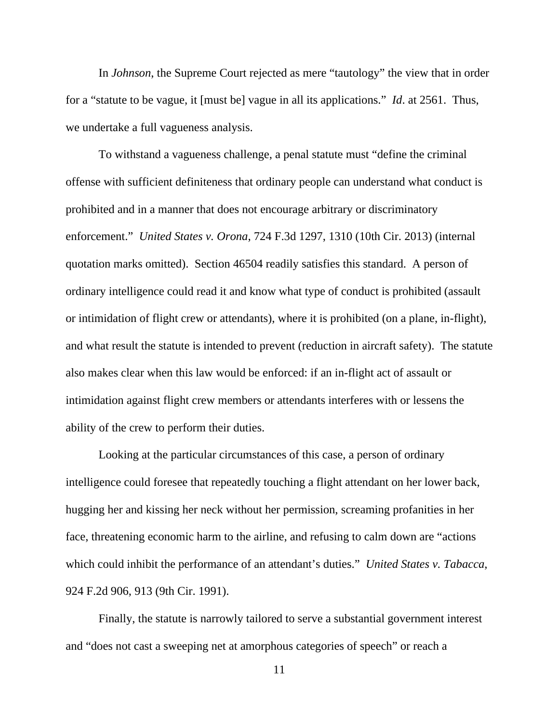In *Johnson*, the Supreme Court rejected as mere "tautology" the view that in order for a "statute to be vague, it [must be] vague in all its applications." *Id*. at 2561. Thus, we undertake a full vagueness analysis.

To withstand a vagueness challenge, a penal statute must "define the criminal offense with sufficient definiteness that ordinary people can understand what conduct is prohibited and in a manner that does not encourage arbitrary or discriminatory enforcement." *United States v. Orona*, 724 F.3d 1297, 1310 (10th Cir. 2013) (internal quotation marks omitted). Section 46504 readily satisfies this standard. A person of ordinary intelligence could read it and know what type of conduct is prohibited (assault or intimidation of flight crew or attendants), where it is prohibited (on a plane, in-flight), and what result the statute is intended to prevent (reduction in aircraft safety). The statute also makes clear when this law would be enforced: if an in-flight act of assault or intimidation against flight crew members or attendants interferes with or lessens the ability of the crew to perform their duties.

Looking at the particular circumstances of this case, a person of ordinary intelligence could foresee that repeatedly touching a flight attendant on her lower back, hugging her and kissing her neck without her permission, screaming profanities in her face, threatening economic harm to the airline, and refusing to calm down are "actions which could inhibit the performance of an attendant's duties." *United States v. Tabacca*, 924 F.2d 906, 913 (9th Cir. 1991).

Finally, the statute is narrowly tailored to serve a substantial government interest and "does not cast a sweeping net at amorphous categories of speech" or reach a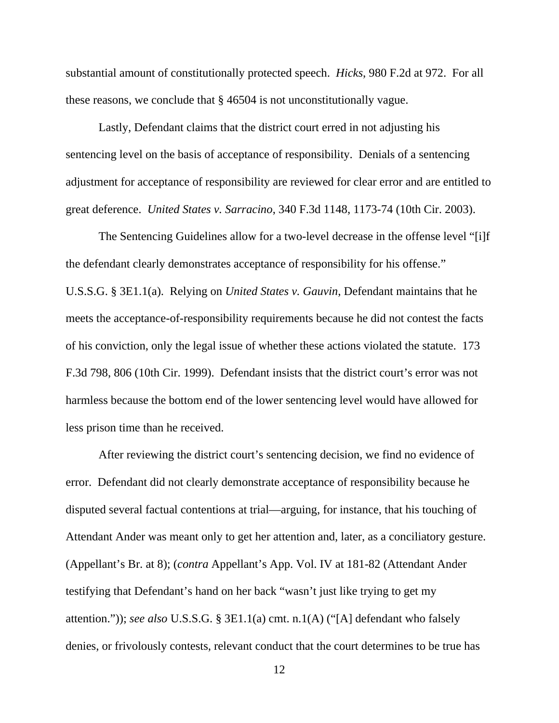substantial amount of constitutionally protected speech. *Hicks*, 980 F.2d at 972. For all these reasons, we conclude that § 46504 is not unconstitutionally vague.

Lastly, Defendant claims that the district court erred in not adjusting his sentencing level on the basis of acceptance of responsibility. Denials of a sentencing adjustment for acceptance of responsibility are reviewed for clear error and are entitled to great deference. *United States v. Sarracino*, 340 F.3d 1148, 1173-74 (10th Cir. 2003).

The Sentencing Guidelines allow for a two-level decrease in the offense level "[i]f the defendant clearly demonstrates acceptance of responsibility for his offense." U.S.S.G. § 3E1.1(a). Relying on *United States v. Gauvin*, Defendant maintains that he meets the acceptance-of-responsibility requirements because he did not contest the facts of his conviction, only the legal issue of whether these actions violated the statute. 173 F.3d 798, 806 (10th Cir. 1999). Defendant insists that the district court's error was not harmless because the bottom end of the lower sentencing level would have allowed for less prison time than he received.

After reviewing the district court's sentencing decision, we find no evidence of error. Defendant did not clearly demonstrate acceptance of responsibility because he disputed several factual contentions at trial—arguing, for instance, that his touching of Attendant Ander was meant only to get her attention and, later, as a conciliatory gesture. (Appellant's Br. at 8); (*contra* Appellant's App. Vol. IV at 181-82 (Attendant Ander testifying that Defendant's hand on her back "wasn't just like trying to get my attention.")); *see also* U.S.S.G. § 3E1.1(a) cmt. n.1(A) ("[A] defendant who falsely denies, or frivolously contests, relevant conduct that the court determines to be true has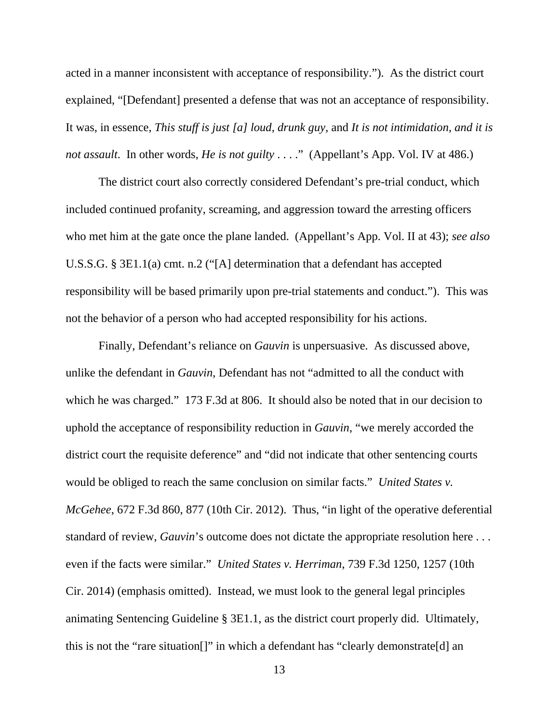acted in a manner inconsistent with acceptance of responsibility."). As the district court explained, "[Defendant] presented a defense that was not an acceptance of responsibility. It was, in essence, *This stuff is just [a] loud, drunk guy*, and *It is not intimidation, and it is not assault*. In other words, *He is not guilty* . . . ." (Appellant's App. Vol. IV at 486.)

The district court also correctly considered Defendant's pre-trial conduct, which included continued profanity, screaming, and aggression toward the arresting officers who met him at the gate once the plane landed. (Appellant's App. Vol. II at 43); *see also* U.S.S.G. § 3E1.1(a) cmt. n.2 ("[A] determination that a defendant has accepted responsibility will be based primarily upon pre-trial statements and conduct."). This was not the behavior of a person who had accepted responsibility for his actions.

Finally, Defendant's reliance on *Gauvin* is unpersuasive. As discussed above, unlike the defendant in *Gauvin*, Defendant has not "admitted to all the conduct with which he was charged." 173 F.3d at 806. It should also be noted that in our decision to uphold the acceptance of responsibility reduction in *Gauvin*, "we merely accorded the district court the requisite deference" and "did not indicate that other sentencing courts would be obliged to reach the same conclusion on similar facts." *United States v. McGehee*, 672 F.3d 860, 877 (10th Cir. 2012). Thus, "in light of the operative deferential standard of review, *Gauvin*'s outcome does not dictate the appropriate resolution here . . . even if the facts were similar." *United States v. Herriman*, 739 F.3d 1250, 1257 (10th Cir. 2014) (emphasis omitted). Instead, we must look to the general legal principles animating Sentencing Guideline § 3E1.1, as the district court properly did. Ultimately, this is not the "rare situation[]" in which a defendant has "clearly demonstrate[d] an